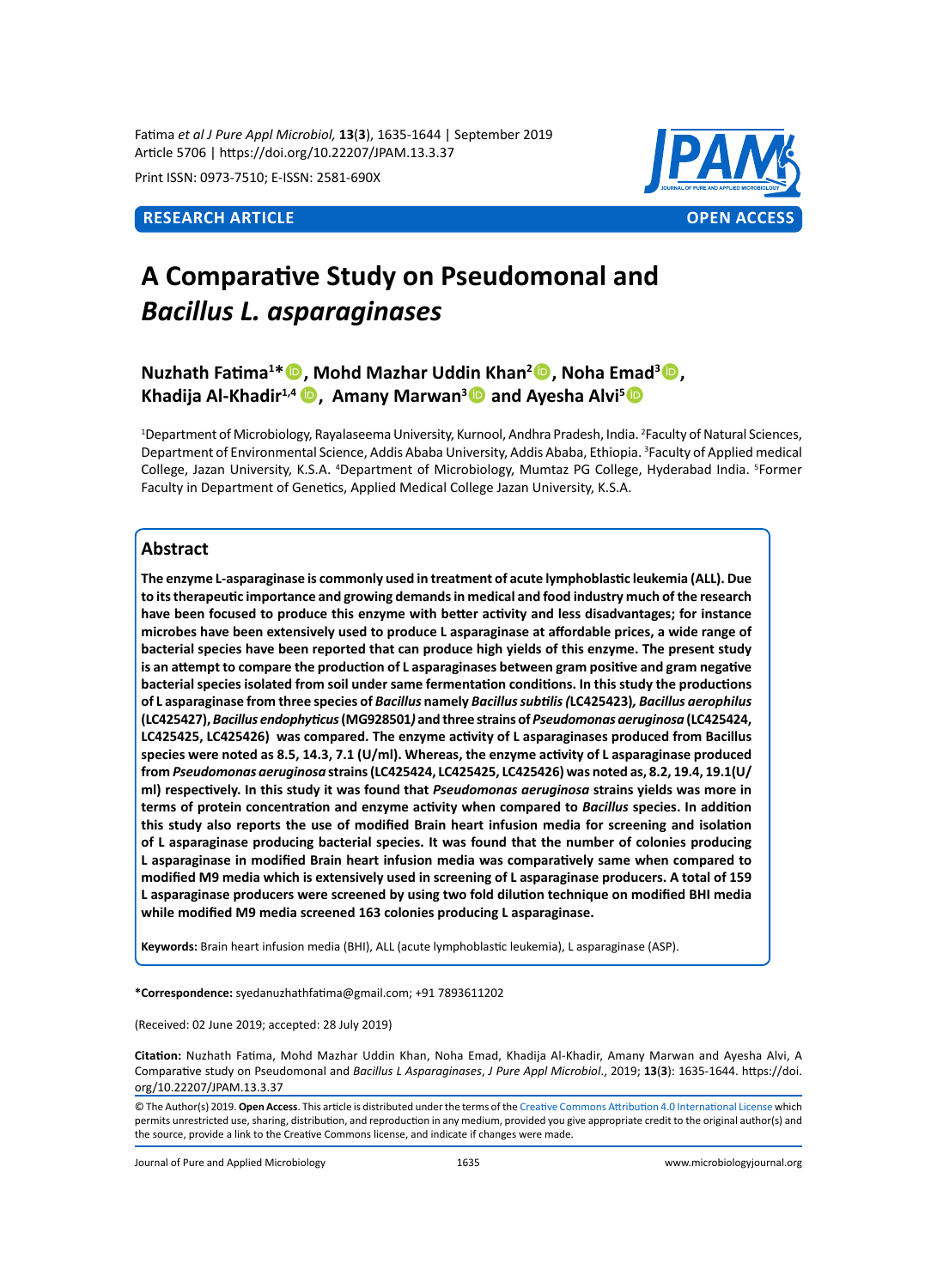Fatima *et al J Pure Appl Microbiol,* **13**(**3**), 1635-1644 | September 2019 Article 5706 | https://doi.org/10.22207/JPAM.13.3.37

Print ISSN: 0973-7510; E-ISSN: 2581-690X



# **A Comparative Study on Pseudomonal and**  *Bacillus L. asparaginases*

# **Nuzhath Fatima<sup>1</sup> \*, Mohd Mazhar Uddin Khan<sup>2</sup> , Noha Emad<sup>3</sup> , Khadija Al-Khadir1,4 , Amany Marwan<sup>3</sup> and Ayesha Alvi<sup>5</sup>**

1 Department of Microbiology, Rayalaseema University, Kurnool, Andhra Pradesh, India. 2 Faculty of Natural Sciences, Department of Environmental Science, Addis Ababa University, Addis Ababa, Ethiopia. <sup>3</sup>Faculty of Applied medical College, Jazan University, K.S.A. <sup>4</sup>Department of Microbiology, Mumtaz PG College, Hyderabad India. <sup>5</sup>Former Faculty in Department of Genetics, Applied Medical College Jazan University, K.S.A.

# **Abstract**

**The enzyme L-asparaginase is commonly used in treatment of acute lymphoblastic leukemia (ALL). Due to its therapeutic importance and growing demands in medical and food industry much of the research have been focused to produce this enzyme with better activity and less disadvantages; for instance microbes have been extensively used to produce L asparaginase at affordable prices, a wide range of bacterial species have been reported that can produce high yields of this enzyme. The present study is an attempt to compare the production of L asparaginases between gram positive and gram negative bacterial species isolated from soil under same fermentation conditions. In this study the productions of L asparaginase from three species of** *Bacillus* **namely** *Bacillus subtilis (***LC425423)***, Bacillus aerophilus*  **(LC425427),** *Bacillus endophyticus* **(MG928501***)* **and three strains of** *Pseudomonas aeruginosa* **(LC425424, LC425425, LC425426) was compared. The enzyme activity of L asparaginases produced from Bacillus species were noted as 8.5, 14.3, 7.1 (U/ml). Whereas, the enzyme activity of L asparaginase produced from** *Pseudomonas aeruginosa* **strains (LC425424, LC425425, LC425426) was noted as, 8.2, 19.4, 19.1(U/ ml) respectively. In this study it was found that** *Pseudomonas aeruginosa* **strains yields was more in terms of protein concentration and enzyme activity when compared to** *Bacillus* **species. In addition this study also reports the use of modified Brain heart infusion media for screening and isolation of L asparaginase producing bacterial species. It was found that the number of colonies producing L asparaginase in modified Brain heart infusion media was comparatively same when compared to modified M9 media which is extensively used in screening of L asparaginase producers. A total of 159 L asparaginase producers were screened by using two fold dilution technique on modified BHI media while modified M9 media screened 163 colonies producing L asparaginase.**

**Keywords:** Brain heart infusion media (BHI), ALL (acute lymphoblastic leukemia), L asparaginase (ASP).

**\*Correspondence:** syedanuzhathfatima@gmail.com; +91 7893611202

(Received: 02 June 2019; accepted: 28 July 2019)

**Citation:** Nuzhath Fatima, Mohd Mazhar Uddin Khan, Noha Emad, Khadija Al-Khadir, Amany Marwan and Ayesha Alvi, A Comparative study on Pseudomonal and *Bacillus L Asparaginases*, *J Pure Appl Microbiol*., 2019; **13**(**3**): 1635-1644. https://doi. org/10.22207/JPAM.13.3.37

© The Author(s) 2019. **Open Access**. This article is distributed under the terms of the [Creative Commons Attribution 4.0 International License](https://creativecommons.org/licenses/by/4.0/) which permits unrestricted use, sharing, distribution, and reproduction in any medium, provided you give appropriate credit to the original author(s) and the source, provide a link to the Creative Commons license, and indicate if changes were made.

Journal of Pure and Applied Microbiology 1635 www.microbiologyjournal.org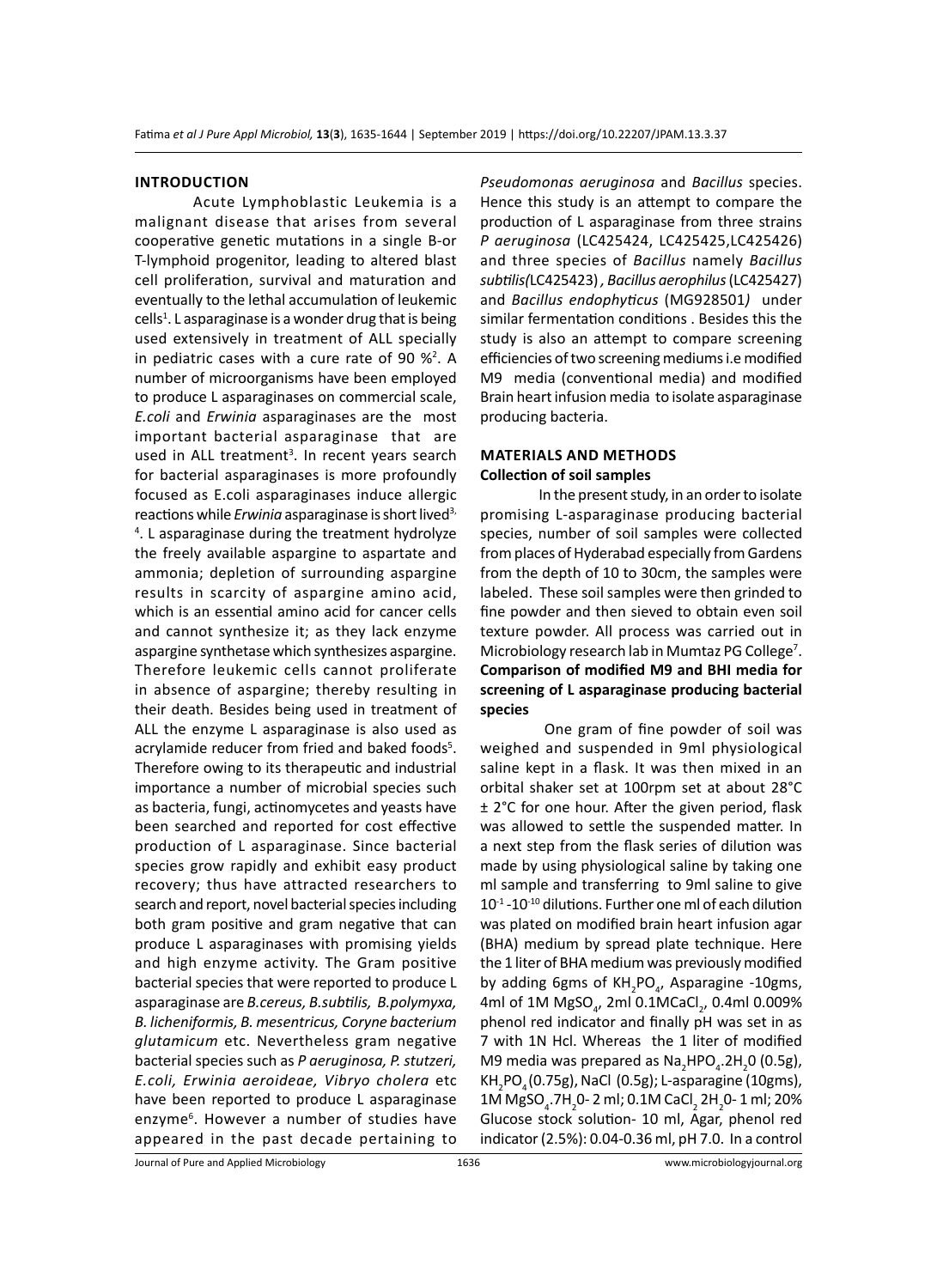#### **Introduction**

Acute Lymphoblastic Leukemia is a malignant disease that arises from several cooperative genetic mutations in a single B-or T-lymphoid progenitor, leading to altered blast cell proliferation, survival and maturation and eventually to the lethal accumulation of leukemic cells<sup>1</sup>. L asparaginase is a wonder drug that is being used extensively in treatment of ALL specially in pediatric cases with a cure rate of 90  $\frac{1}{2}$ . A number of microorganisms have been employed to produce L asparaginases on commercial scale, *E.coli* and *Erwinia* asparaginases are the most important bacterial asparaginase that are used in ALL treatment<sup>3</sup>. In recent years search for bacterial asparaginases is more profoundly focused as E.coli asparaginases induce allergic reactions while *Erwinia* asparaginase is short lived<sup>3,</sup> 4 . L asparaginase during the treatment hydrolyze the freely available aspargine to aspartate and ammonia; depletion of surrounding aspargine results in scarcity of aspargine amino acid, which is an essential amino acid for cancer cells and cannot synthesize it; as they lack enzyme aspargine synthetase which synthesizes aspargine. Therefore leukemic cells cannot proliferate in absence of aspargine; thereby resulting in their death. Besides being used in treatment of ALL the enzyme L asparaginase is also used as acrylamide reducer from fried and baked foods<sup>5</sup>. Therefore owing to its therapeutic and industrial importance a number of microbial species such as bacteria, fungi, actinomycetes and yeasts have been searched and reported for cost effective production of L asparaginase. Since bacterial species grow rapidly and exhibit easy product recovery; thus have attracted researchers to search and report, novel bacterial species including both gram positive and gram negative that can produce L asparaginases with promising yields and high enzyme activity. The Gram positive bacterial species that were reported to produce L asparaginase are *B.cereus, B.subtilis, B.polymyxa, B. licheniformis, B. mesentricus, Coryne bacterium glutamicum* etc. Nevertheless gram negative bacterial species such as *P aeruginosa, P. stutzeri, E.coli, Erwinia aeroideae, Vibryo cholera* etc have been reported to produce L asparaginase enzyme<sup>6</sup>. However a number of studies have appeared in the past decade pertaining to

*Pseudomonas aeruginosa* and *Bacillus* species. Hence this study is an attempt to compare the production of L asparaginase from three strains *P aeruginosa* (LC425424, LC425425,LC425426) and three species of *Bacillus* namely *Bacillus subtilis(*LC425423) *, Bacillus aerophilus* (LC425427) and *Bacillus endophyticus* (MG928501*)* under similar fermentation conditions . Besides this the study is also an attempt to compare screening efficiencies of two screening mediums i.e modified M9 media (conventional media) and modified Brain heart infusion media to isolate asparaginase producing bacteria.

# **Materials and methods Collection of soil samples**

In the present study, in an order to isolate promising L-asparaginase producing bacterial species, number of soil samples were collected from places of Hyderabad especially from Gardens from the depth of 10 to 30cm, the samples were labeled. These soil samples were then grinded to fine powder and then sieved to obtain even soil texture powder. All process was carried out in Microbiology research lab in Mumtaz PG College<sup>7</sup>. **Comparison of modified M9 and BHI media for screening of L asparaginase producing bacterial species**

 One gram of fine powder of soil was weighed and suspended in 9ml physiological saline kept in a flask. It was then mixed in an orbital shaker set at 100rpm set at about 28°C ± 2°C for one hour. After the given period, flask was allowed to settle the suspended matter. In a next step from the flask series of dilution was made by using physiological saline by taking one ml sample and transferring to 9ml saline to give 10-1 -10-10 dilutions. Further one ml of each dilution was plated on modified brain heart infusion agar (BHA) medium by spread plate technique. Here the 1 liter of BHA medium was previously modified by adding 6gms of KH<sub>2</sub>PO<sub>4</sub>, Asparagine -10gms, 4ml of 1M MgSO<sub>4</sub>, 2ml 0.1MCaCl<sub>2</sub>, 0.4ml 0.009% phenol red indicator and finally pH was set in as 7 with 1N Hcl. Whereas the 1 liter of modified M9 media was prepared as  $\text{Na}_2\text{HPO}_4$ .2H<sub>2</sub>0 (0.5g), KH<sub>2</sub>PO<sub>4</sub> (0.75g), NaCl (0.5g); L-asparagine (10gms), 1M MgSO<sub>4</sub>.7H<sub>2</sub>0- 2 ml; 0.1M CaCl<sub>2</sub> 2H<sub>2</sub>0- 1 ml; 20% Glucose stock solution- 10 ml, Agar, phenol red indicator (2.5%): 0.04-0.36 ml, pH 7.0. In a control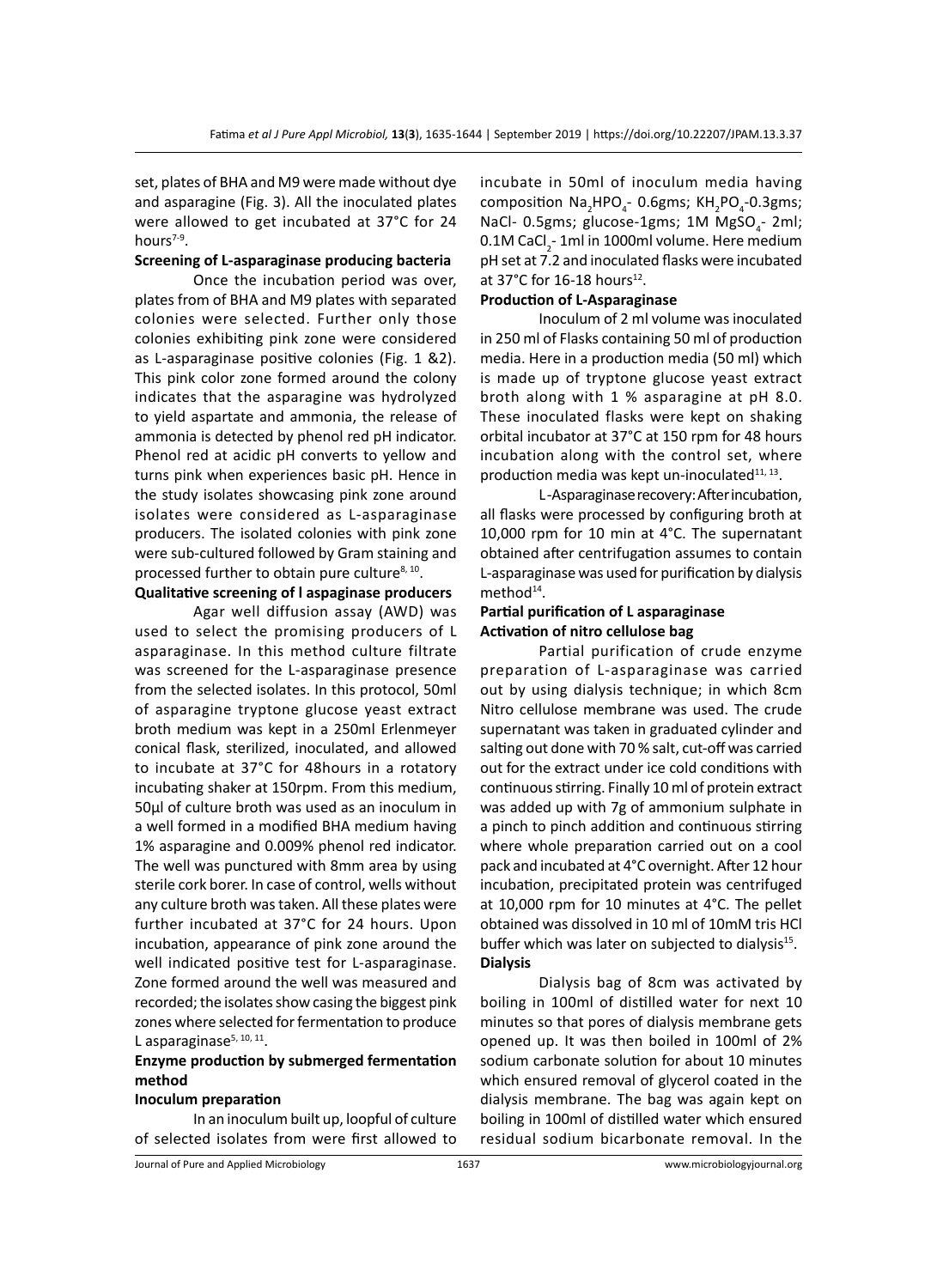set, plates of BHA and M9 were made without dye and asparagine (Fig. 3). All the inoculated plates were allowed to get incubated at 37°C for 24 hours $7-9$ .

#### **Screening of L-asparaginase producing bacteria**

Once the incubation period was over, plates from of BHA and M9 plates with separated colonies were selected. Further only those colonies exhibiting pink zone were considered as L-asparaginase positive colonies (Fig. 1 &2). This pink color zone formed around the colony indicates that the asparagine was hydrolyzed to yield aspartate and ammonia, the release of ammonia is detected by phenol red pH indicator. Phenol red at acidic pH converts to yellow and turns pink when experiences basic pH. Hence in the study isolates showcasing pink zone around isolates were considered as L-asparaginase producers. The isolated colonies with pink zone were sub-cultured followed by Gram staining and processed further to obtain pure culture<sup>8, 10</sup>.

# **Qualitative screening of l aspaginase producers**

Agar well diffusion assay (AWD) was used to select the promising producers of L asparaginase. In this method culture filtrate was screened for the L-asparaginase presence from the selected isolates. In this protocol, 50ml of asparagine tryptone glucose yeast extract broth medium was kept in a 250ml Erlenmeyer conical flask, sterilized, inoculated, and allowed to incubate at 37°C for 48hours in a rotatory incubating shaker at 150rpm. From this medium, 50µl of culture broth was used as an inoculum in a well formed in a modified BHA medium having 1% asparagine and 0.009% phenol red indicator. The well was punctured with 8mm area by using sterile cork borer. In case of control, wells without any culture broth was taken. All these plates were further incubated at 37°C for 24 hours. Upon incubation, appearance of pink zone around the well indicated positive test for L-asparaginase. Zone formed around the well was measured and recorded; the isolates show casing the biggest pink zones where selected for fermentation to produce L asparaginase $5, 10, 11$ .

# **Enzyme production by submerged fermentation method**

#### **Inoculum preparation**

In an inoculum built up, loopful of culture of selected isolates from were first allowed to incubate in 50ml of inoculum media having composition  $\textsf{Na}_2\textsf{HPO}_4^-$ - 0.6gms; KH $_2$ PO $_4$ -0.3gms; NaCl- 0.5gms; glucose-1gms; 1M MgSO<sub>4</sub>-2ml; 0.1M CaCl $_2$ - 1ml in 1000ml volume. Here medium pH set at 7.2 and inoculated flasks were incubated at 37°C for 16-18 hours<sup>12</sup>.

#### **Production of L-Asparaginase**

Inoculum of 2 ml volume was inoculated in 250 ml of Flasks containing 50 ml of production media. Here in a production media (50 ml) which is made up of tryptone glucose yeast extract broth along with 1 % asparagine at pH 8.0. These inoculated flasks were kept on shaking orbital incubator at 37°C at 150 rpm for 48 hours incubation along with the control set, where production media was kept un-inoculated $11, 13$ .

L -Asparaginase recovery: After incubation, all flasks were processed by configuring broth at 10,000 rpm for 10 min at 4°C. The supernatant obtained after centrifugation assumes to contain L-asparaginase was used for purification by dialysis method<sup>14</sup>.

# **Partial purification of L asparaginase Activation of nitro cellulose bag**

Partial purification of crude enzyme preparation of L-asparaginase was carried out by using dialysis technique; in which 8cm Nitro cellulose membrane was used. The crude supernatant was taken in graduated cylinder and salting out done with 70 % salt, cut-off was carried out for the extract under ice cold conditions with continuous stirring. Finally 10 ml of protein extract was added up with 7g of ammonium sulphate in a pinch to pinch addition and continuous stirring where whole preparation carried out on a cool pack and incubated at 4°C overnight. After 12 hour incubation, precipitated protein was centrifuged at 10,000 rpm for 10 minutes at 4°C. The pellet obtained was dissolved in 10 ml of 10mM tris HCl buffer which was later on subjected to dialysis $15$ . **Dialysis**

Dialysis bag of 8cm was activated by boiling in 100ml of distilled water for next 10 minutes so that pores of dialysis membrane gets opened up. It was then boiled in 100ml of 2% sodium carbonate solution for about 10 minutes which ensured removal of glycerol coated in the dialysis membrane. The bag was again kept on boiling in 100ml of distilled water which ensured residual sodium bicarbonate removal. In the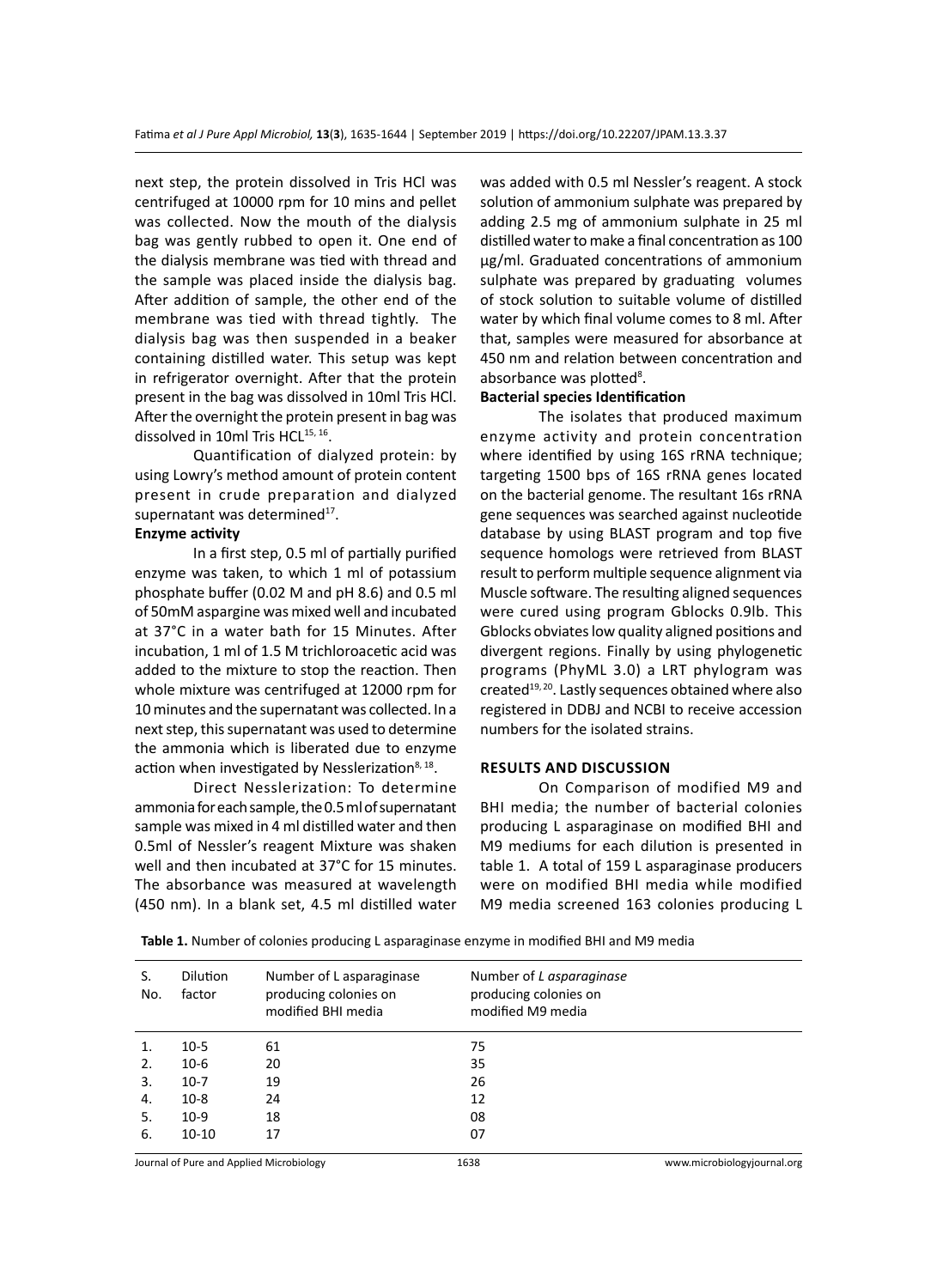next step, the protein dissolved in Tris HCl was centrifuged at 10000 rpm for 10 mins and pellet was collected. Now the mouth of the dialysis bag was gently rubbed to open it. One end of the dialysis membrane was tied with thread and the sample was placed inside the dialysis bag. After addition of sample, the other end of the membrane was tied with thread tightly. The dialysis bag was then suspended in a beaker containing distilled water. This setup was kept in refrigerator overnight. After that the protein present in the bag was dissolved in 10ml Tris HCl. After the overnight the protein present in bag was dissolved in 10ml Tris HCL<sup>15, 16</sup>.

Quantification of dialyzed protein: by using Lowry's method amount of protein content present in crude preparation and dialyzed supernatant was determined $17$ .

#### **Enzyme activity**

In a first step, 0.5 ml of partially purified enzyme was taken, to which 1 ml of potassium phosphate buffer (0.02 M and pH 8.6) and 0.5 ml of 50mM aspargine was mixed well and incubated at 37°C in a water bath for 15 Minutes. After incubation, 1 ml of 1.5 M trichloroacetic acid was added to the mixture to stop the reaction. Then whole mixture was centrifuged at 12000 rpm for 10 minutes and the supernatant was collected. In a next step, this supernatant was used to determine the ammonia which is liberated due to enzyme action when investigated by Nesslerization $8,18$ .

Direct Nesslerization: To determine ammonia for each sample, the 0.5 ml of supernatant sample was mixed in 4 ml distilled water and then 0.5ml of Nessler's reagent Mixture was shaken well and then incubated at 37°C for 15 minutes. The absorbance was measured at wavelength (450 nm). In a blank set, 4.5 ml distilled water

was added with 0.5 ml Nessler's reagent. A stock solution of ammonium sulphate was prepared by adding 2.5 mg of ammonium sulphate in 25 ml distilled water to make a final concentration as 100 µg/ml. Graduated concentrations of ammonium sulphate was prepared by graduating volumes of stock solution to suitable volume of distilled water by which final volume comes to 8 ml. After that, samples were measured for absorbance at 450 nm and relation between concentration and absorbance was plotted<sup>8</sup>.

#### **Bacterial species Identification**

The isolates that produced maximum enzyme activity and protein concentration where identified by using 16S rRNA technique; targeting 1500 bps of 16S rRNA genes located on the bacterial genome. The resultant 16s rRNA gene sequences was searched against nucleotide database by using BLAST program and top five sequence homologs were retrieved from BLAST result to perform multiple sequence alignment via Muscle software. The resulting aligned sequences were cured using program Gblocks 0.9lb. This Gblocks obviates low quality aligned positions and divergent regions. Finally by using phylogenetic programs (PhyML 3.0) a LRT phylogram was created<sup>19, 20</sup>. Lastly sequences obtained where also registered in DDBJ and NCBI to receive accession numbers for the isolated strains.

#### **Results and Discussion**

On Comparison of modified M9 and BHI media; the number of bacterial colonies producing L asparaginase on modified BHI and M9 mediums for each dilution is presented in table 1. A total of 159 L asparaginase producers were on modified BHI media while modified M9 media screened 163 colonies producing L

| S.<br>No. | <b>Dilution</b><br>factor | Number of L asparaginase<br>producing colonies on<br>modified BHI media | Number of L asparaginase<br>producing colonies on<br>modified M9 media |
|-----------|---------------------------|-------------------------------------------------------------------------|------------------------------------------------------------------------|
|           | $10-5$                    | 61                                                                      | 75                                                                     |
| 2.        | $10-6$                    | 20                                                                      | 35                                                                     |
| 3.        | $10-7$                    | 19                                                                      | 26                                                                     |
| 4.        | $10-8$                    | 24                                                                      | 12                                                                     |
| 5.        | $10-9$                    | 18                                                                      | 08                                                                     |
| 6.        | $10-10$                   | 17                                                                      | 07                                                                     |

**Table 1.** Number of colonies producing L asparaginase enzyme in modified BHI and M9 media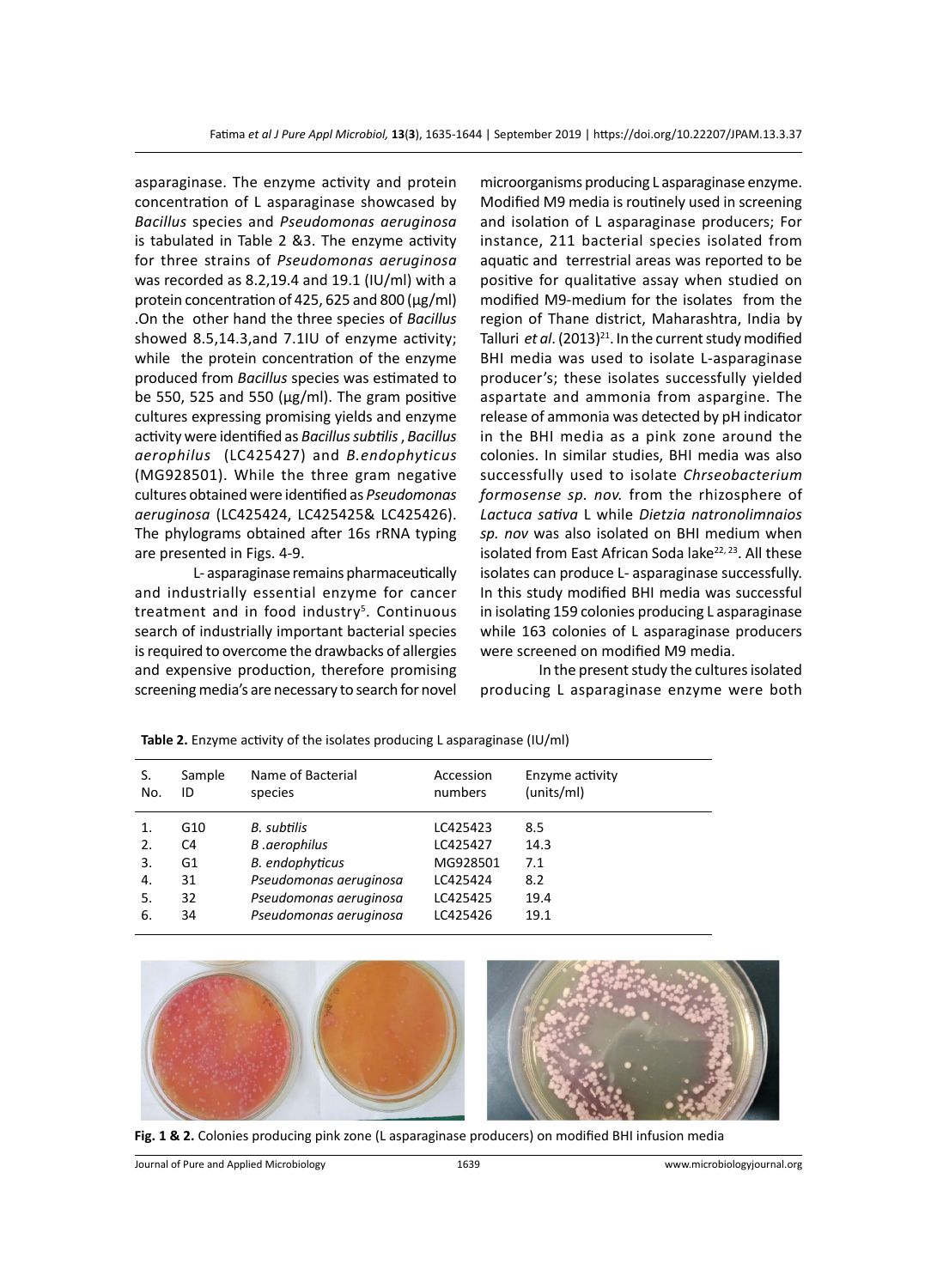asparaginase. The enzyme activity and protein concentration of L asparaginase showcased by *Bacillus* species and *Pseudomonas aeruginosa* is tabulated in Table 2 &3. The enzyme activity for three strains of *Pseudomonas aeruginosa* was recorded as 8.2,19.4 and 19.1 (IU/ml) with a protein concentration of 425, 625 and 800 (µg/ml) .On the other hand the three species of *Bacillus*  showed 8.5,14.3,and 7.1IU of enzyme activity; while the protein concentration of the enzyme produced from *Bacillus* species was estimated to be 550, 525 and 550 ( $\mu$ g/ml). The gram positive cultures expressing promising yields and enzyme activity were identified as *Bacillus subtilis* , *Bacillus aerophilus* (LC425427) and *B.endophyticus* (MG928501). While the three gram negative cultures obtained were identified as *Pseudomonas aeruginosa* (LC425424, LC425425& LC425426). The phylograms obtained after 16s rRNA typing are presented in Figs. 4-9.

L- asparaginase remains pharmaceutically and industrially essential enzyme for cancer treatment and in food industry<sup>5</sup>. Continuous search of industrially important bacterial species is required to overcome the drawbacks of allergies and expensive production, therefore promising screening media's are necessary to search for novel

microorganisms producing L asparaginase enzyme. Modified M9 media is routinely used in screening and isolation of L asparaginase producers; For instance, 211 bacterial species isolated from aquatic and terrestrial areas was reported to be positive for qualitative assay when studied on modified M9-medium for the isolates from the region of Thane district, Maharashtra, India by Talluri *et al.* (2013)<sup>21</sup>. In the current study modified BHI media was used to isolate L-asparaginase producer's; these isolates successfully yielded aspartate and ammonia from aspargine. The release of ammonia was detected by pH indicator in the BHI media as a pink zone around the colonies. In similar studies, BHI media was also successfully used to isolate *Chrseobacterium formosense sp. nov.* from the rhizosphere of *Lactuca sativa* L while *Dietzia natronolimnaios sp. nov* was also isolated on BHI medium when isolated from East African Soda lake<sup>22, 23</sup>. All these isolates can produce L- asparaginase successfully. In this study modified BHI media was successful in isolating 159 colonies producing L asparaginase while 163 colonies of L asparaginase producers were screened on modified M9 media.

In the present study the cultures isolated producing L asparaginase enzyme were both

| S.  | Sample | Name of Bacterial      | Accession | Enzyme activity |
|-----|--------|------------------------|-----------|-----------------|
| No. | ID     | species                | numbers   | (units/ml)      |
| 1.  | G10    | B. subtilis            | LC425423  | 8.5             |
| 2.  | C4     | B.aerophilus           | LC425427  | 14.3            |
| 3.  | G1     | <b>B.</b> endophyticus | MG928501  | 7.1             |
| 4.  | 31     | Pseudomonas aeruginosa | LC425424  | 8.2             |
| 5.  | 32     | Pseudomonas aeruginosa | LC425425  | 19.4            |
| 6.  | 34     | Pseudomonas aeruginosa | LC425426  | 19.1            |

**Table 2.** Enzyme activity of the isolates producing L asparaginase (IU/ml)



**Fig. 1 & 2.** Colonies producing pink zone (L asparaginase producers) on modified BHI infusion media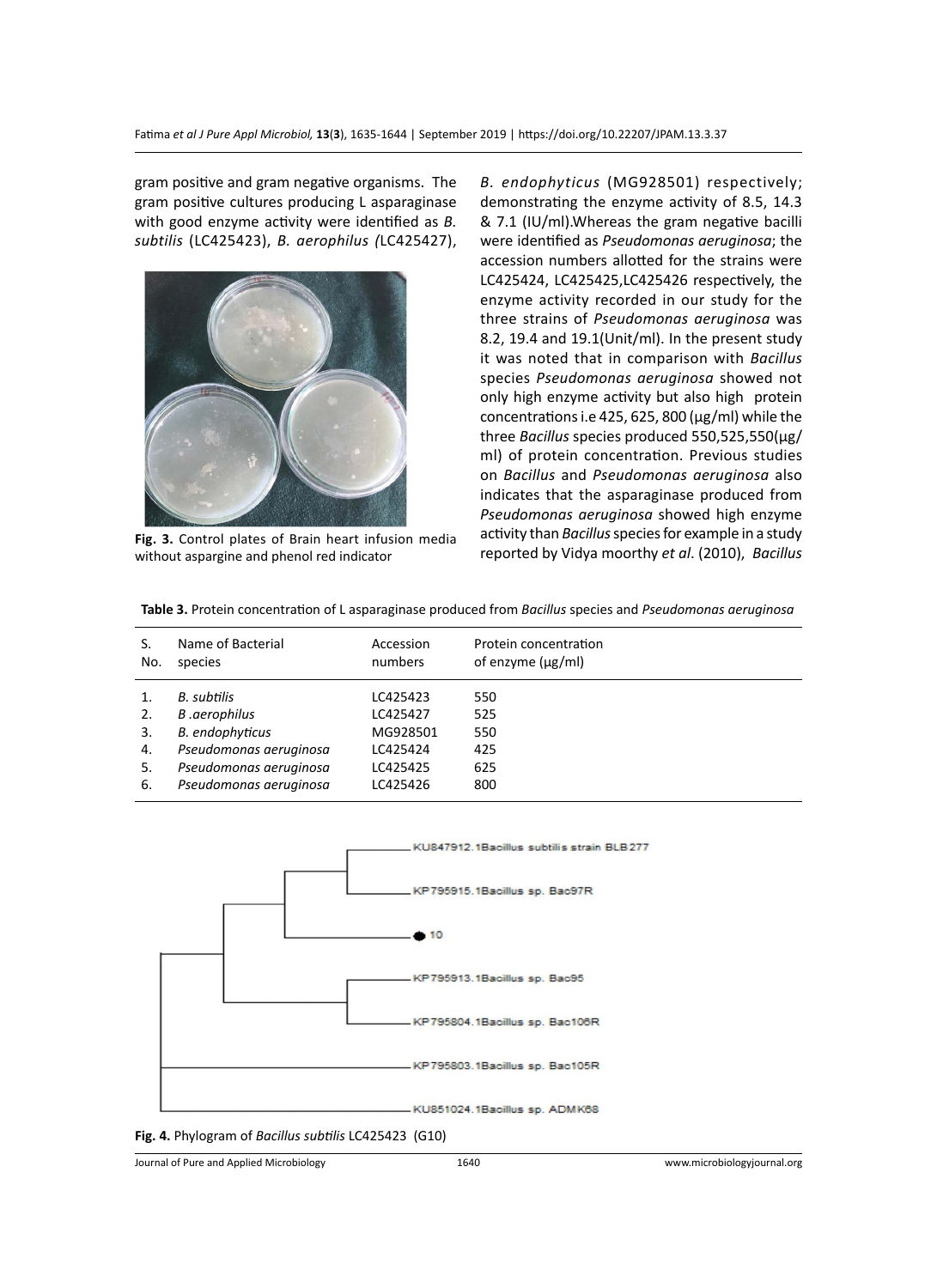gram positive and gram negative organisms. The gram positive cultures producing L asparaginase with good enzyme activity were identified as *B. subtilis* (LC425423), *B. aerophilus (*LC425427),



**Fig. 3.** Control plates of Brain heart infusion media without aspargine and phenol red indicator

*B. endophyticus* (MG928501) respectively; demonstrating the enzyme activity of 8.5, 14.3 & 7.1 (IU/ml).Whereas the gram negative bacilli were identified as *Pseudomonas aeruginosa*; the accession numbers allotted for the strains were LC425424, LC425425,LC425426 respectively, the enzyme activity recorded in our study for the three strains of *Pseudomonas aeruginosa* was 8.2, 19.4 and 19.1(Unit/ml). In the present study it was noted that in comparison with *Bacillus* species *Pseudomonas aeruginosa* showed not only high enzyme activity but also high protein concentrations i.e 425, 625, 800 (µg/ml) while the three *Bacillus* species produced 550,525,550(μg/ ml) of protein concentration. Previous studies on *Bacillus* and *Pseudomonas aeruginosa* also indicates that the asparaginase produced from *Pseudomonas aeruginosa* showed high enzyme activity than *Bacillus* species for example in a study reported by Vidya moorthy *et al*. (2010), *Bacillus*

| S.<br>No.                  | Name of Bacterial<br>species                                                                                                        | Accession<br>numbers                                                 | Protein concentration<br>of enzyme $(\mu g/ml)$ |
|----------------------------|-------------------------------------------------------------------------------------------------------------------------------------|----------------------------------------------------------------------|-------------------------------------------------|
| 2.<br>3.<br>4.<br>5.<br>6. | B. subtilis<br>B.aerophilus<br><b>B.</b> endophyticus<br>Pseudomonas aeruginosa<br>Pseudomonas aeruginosa<br>Pseudomonas aeruginosa | LC425423<br>LC425427<br>MG928501<br>LC425424<br>LC425425<br>LC425426 | 550<br>525<br>550<br>425<br>625<br>800          |

**Table 3.** Protein concentration of L asparaginase produced from *Bacillus* species and *Pseudomonas aeruginosa*



**Fig. 4.** Phylogram of *Bacillus subtilis* LC425423 (G10)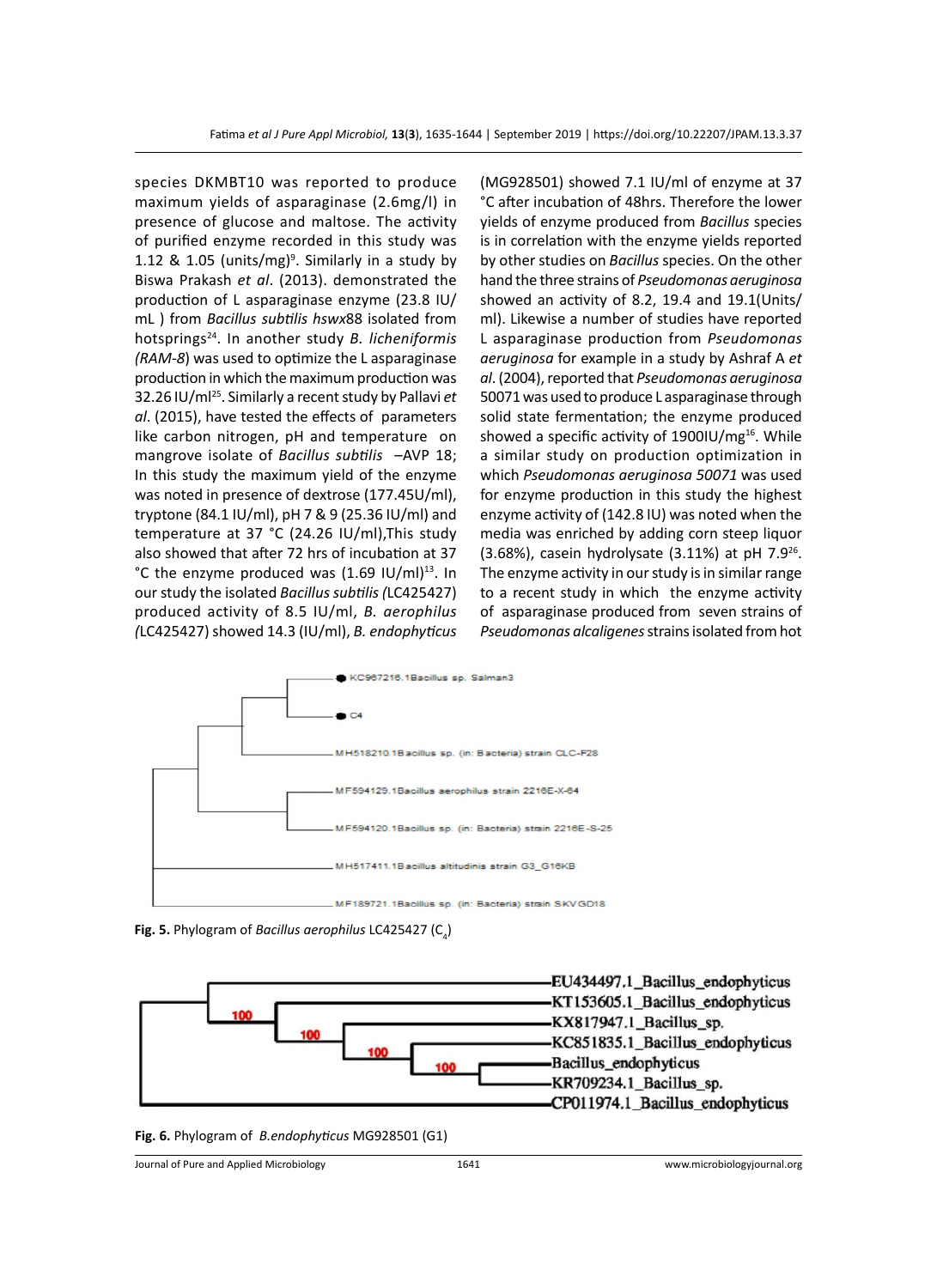species DKMBT10 was reported to produce maximum yields of asparaginase (2.6mg/l) in presence of glucose and maltose. The activity of purified enzyme recorded in this study was 1.12 & 1.05 (units/mg)<sup>9</sup>. Similarly in a study by Biswa Prakash *et al*. (2013). demonstrated the production of L asparaginase enzyme (23.8 IU/ mL ) from *Bacillus subtilis hswx*88 isolated from hotsprings24. In another study *B. licheniformis (RAM-8*) was used to optimize the L asparaginase production in which the maximum production was 32.26 IU/ml25. Similarly a recent study by Pallavi *et al*. (2015), have tested the effects of parameters like carbon nitrogen, pH and temperature on mangrove isolate of *Bacillus subtilis* –AVP 18; In this study the maximum yield of the enzyme was noted in presence of dextrose (177.45U/ml), tryptone (84.1 IU/ml), pH 7 & 9 (25.36 IU/ml) and temperature at 37 °C (24.26 IU/ml),This study also showed that after 72 hrs of incubation at 37 °C the enzyme produced was  $(1.69 \text{ IU/ml})^{13}$ . In our study the isolated *Bacillus subtilis(*LC425427) produced activity of 8.5 IU/ml, *B. aerophilus (*LC425427) showed 14.3 (IU/ml), *B. endophyticus* 

(MG928501) showed 7.1 IU/ml of enzyme at 37 °C after incubation of 48hrs. Therefore the lower yields of enzyme produced from *Bacillus* species is in correlation with the enzyme yields reported by other studies on *Bacillus* species. On the other hand the three strains of *Pseudomonas aeruginosa* showed an activity of 8.2, 19.4 and 19.1(Units/ ml). Likewise a number of studies have reported L asparaginase production from *Pseudomonas aeruginosa* for example in a study by Ashraf A *et al*. (2004), reported that *Pseudomonas aeruginosa*  50071 was used to produce L asparaginase through solid state fermentation; the enzyme produced showed a specific activity of  $1900$ IU/mg<sup>16</sup>. While a similar study on production optimization in which *Pseudomonas aeruginosa 50071* was used for enzyme production in this study the highest enzyme activity of (142.8 IU) was noted when the media was enriched by adding corn steep liquor (3.68%), casein hydrolysate (3.11%) at pH  $7.9^{26}$ . The enzyme activity in our study is in similar range to a recent study in which the enzyme activity of asparaginase produced from seven strains of *Pseudomonas alcaligenes* strains isolated from hot



**Fig. 5.** Phylogram of *Bacillus aerophilus* LC425427 (C<sub>4</sub>)



**Fig. 6.** Phylogram of *B.endophyticus* MG928501 (G1)

Journal of Pure and Applied Microbiology 1641 www.microbiologyjournal.org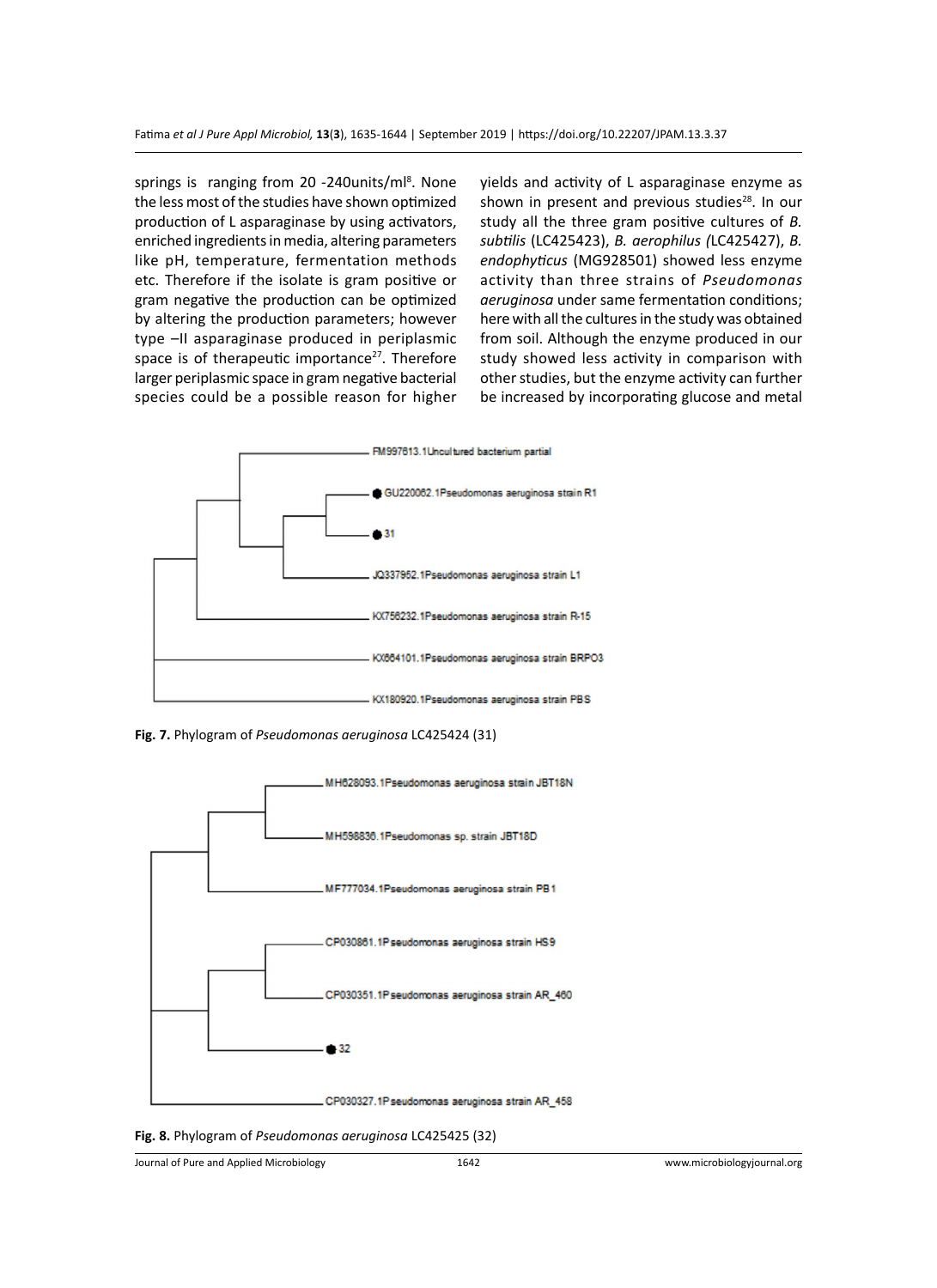springs is ranging from 20 -240units/ml<sup>8</sup>. None the less most of the studies have shown optimized production of L asparaginase by using activators, enriched ingredients in media, altering parameters like pH, temperature, fermentation methods etc. Therefore if the isolate is gram positive or gram negative the production can be optimized by altering the production parameters; however type –II asparaginase produced in periplasmic space is of therapeutic importance<sup>27</sup>. Therefore larger periplasmic space in gram negative bacterial species could be a possible reason for higher

yields and activity of L asparaginase enzyme as shown in present and previous studies<sup>28</sup>. In our study all the three gram positive cultures of *B. subtilis* (LC425423), *B. aerophilus (*LC425427), *B. endophyticus* (MG928501) showed less enzyme activity than three strains of *Pseudomonas aeruginosa* under same fermentation conditions; here with all the cultures in the study was obtained from soil. Although the enzyme produced in our study showed less activity in comparison with other studies, but the enzyme activity can further be increased by incorporating glucose and metal



**Fig. 7.** Phylogram of *Pseudomonas aeruginosa* LC425424 (31)



**Fig. 8.** Phylogram of *Pseudomonas aeruginosa* LC425425 (32)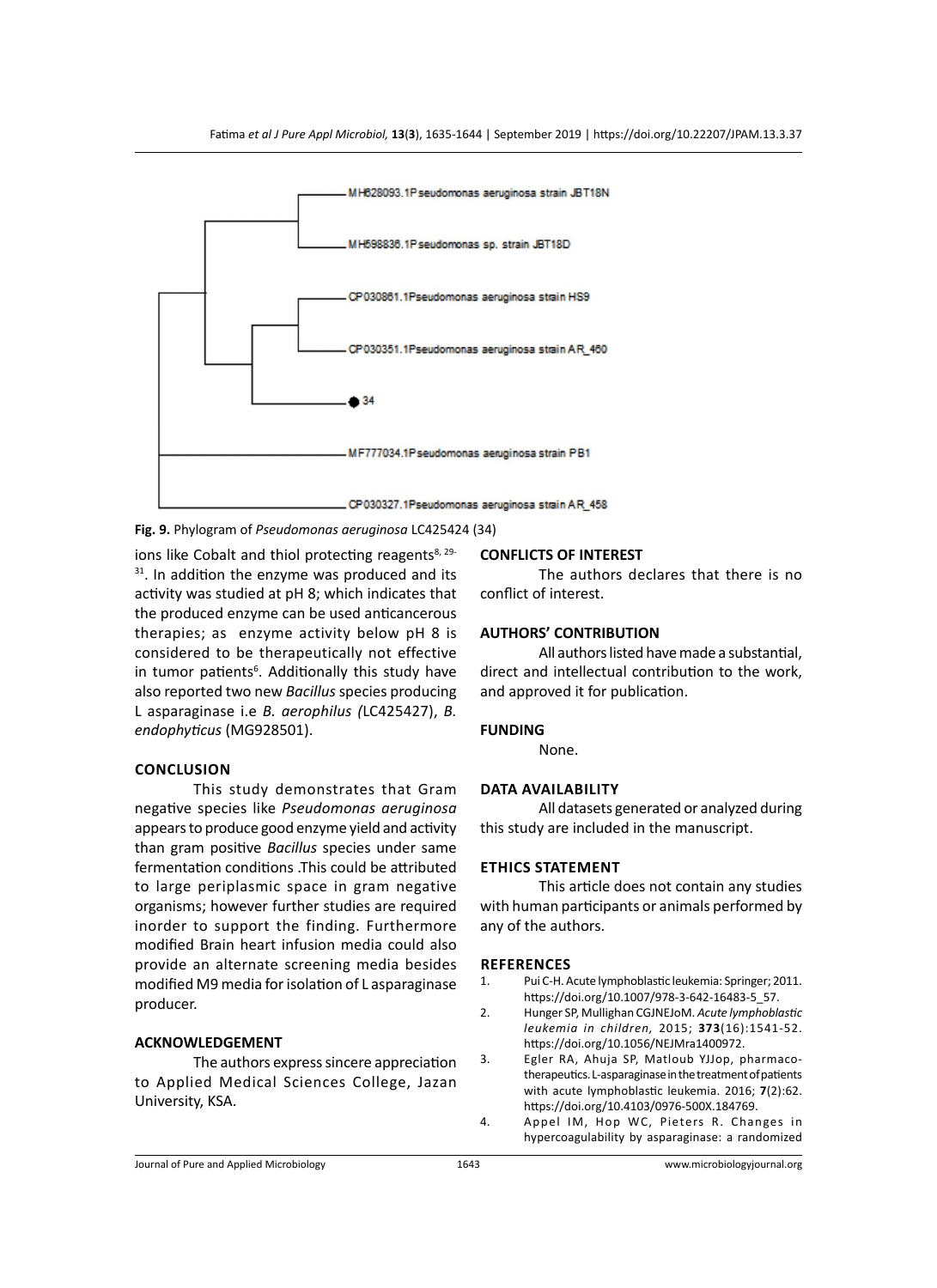

#### **Fig. 9.** Phylogram of *Pseudomonas aeruginosa* LC425424 (34)

ions like Cobalt and thiol protecting reagents<sup>8, 29-</sup>  $31$ . In addition the enzyme was produced and its activity was studied at pH 8; which indicates that the produced enzyme can be used anticancerous therapies; as enzyme activity below pH 8 is considered to be therapeutically not effective in tumor patients<sup>6</sup>. Additionally this study have also reported two new *Bacillus* species producing L asparaginase i.e *B. aerophilus (*LC425427), *B. endophyticus* (MG928501).

#### **Conclusion**

This study demonstrates that Gram negative species like *Pseudomonas aeruginosa* appears to produce good enzyme yield and activity than gram positive *Bacillus* species under same fermentation conditions .This could be attributed to large periplasmic space in gram negative organisms; however further studies are required inorder to support the finding. Furthermore modified Brain heart infusion media could also provide an alternate screening media besides modified M9 media for isolation of L asparaginase producer.

#### **ACKNOWLEDGEMENT**

The authors express sincere appreciation to Applied Medical Sciences College, Jazan University, KSA.

### **CONFLICTS OF INTEREST**

The authors declares that there is no conflict of interest.

#### **AUTHORS' CONTRIBUTION**

All authors listed have made a substantial, direct and intellectual contribution to the work, and approved it for publication.

#### **FUNDING**

None.

#### **Data availability**

All datasets generated or analyzed during this study are included in the manuscript.

#### **Ethics Statement**

This article does not contain any studies with human participants or animals performed by any of the authors.

### **references**

- 1. Pui C-H. Acute lymphoblastic leukemia: Springer; 2011. https://doi.org/10.1007/978-3-642-16483-5\_57.
- 2. Hunger SP, Mullighan CGJNEJoM. *Acute lymphoblastic leukemia in children,* 2015; **373**(16):1541-52. https://doi.org/10.1056/NEJMra1400972.
- 3. Egler RA, Ahuja SP, Matloub YJJop, pharmacotherapeutics. L-asparaginase in the treatment of patients with acute lymphoblastic leukemia. 2016; **7**(2):62. https://doi.org/10.4103/0976-500X.184769.
- 4. Appel IM, Hop WC, Pieters R. Changes in hypercoagulability by asparaginase: a randomized